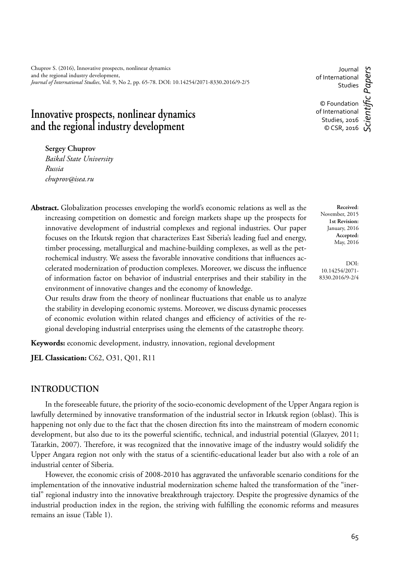Chuprov S. (2016), Innovative prospects, nonlinear dynamics and the regional industry development, *Journal of International Studies*, Vol. 9, No 2, pp. 65-78. DOI: 10.14254/2071-8330.2016/9-2/5

**Innovative prospects, nonlinear dynamics and the regional industry development**

**Sergey Chuprov**

*Baikal State University Russia chuprov@isea.ru*

**Abstract.** Globalization processes enveloping the world's economic relations as well as the increasing competition on domestic and foreign markets shape up the prospects for innovative development of industrial complexes and regional industries. Our paper focuses on the Irkutsk region that characterizes East Siberia's leading fuel and energy, timber processing, metallurgical and machine-building complexes, as well as the petrochemical industry. We assess the favorable innovative conditions that influences accelerated modernization of production complexes. Moreover, we discuss the influence of information factor on behavior of industrial enterprises and their stability in the environment of innovative changes and the economy of knowledge.

Our results draw from the theory of nonlinear fluctuations that enable us to analyze the stability in developing economic systems. Moreover, we discuss dynamic processes of economic evolution within related changes and efficiency of activities of the regional developing industrial enterprises using the elements of the catastrophe theory.

**Keywords:** economic development, industry, innovation, regional development

**JEL Classication:** C62, O31, O01, R11

### **INTRODUCTION**

In the foreseeable future, the priority of the socio-economic development of the Upper Angara region is lawfully determined by innovative transformation of the industrial sector in Irkutsk region (oblast). This is happening not only due to the fact that the chosen direction fits into the mainstream of modern economic development, but also due to its the powerful scientific, technical, and industrial potential (Glazyev, 2011; Tatarkin, 2007). Therefore, it was recognized that the innovative image of the industry would solidify the Upper Angara region not only with the status of a scientific-educational leader but also with a role of an industrial center of Siberia.

However, the economic crisis of 2008-2010 has aggravated the unfavorable scenario conditions for the implementation of the innovative industrial modernization scheme halted the transformation of the "inertial" regional industry into the innovative breakthrough trajectory. Despite the progressive dynamics of the industrial production index in the region, the striving with fulfilling the economic reforms and measures remains an issue (Table 1).

Journal of International Studies

© Foundation of International Studies, 2016 © CSR, 2016

**Received**: November, 2015 **1st Revision:** January, 2016 **Accepted:** May, 2016

DOI: 10.14254/2071- 8330.2016/9-2/4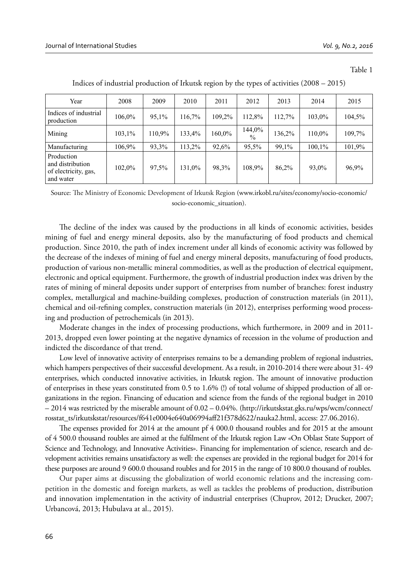Table 1

| Year                                                                | 2008   | 2009   | 2010   | 2011   | 2012           | 2013   | 2014   | 2015   |
|---------------------------------------------------------------------|--------|--------|--------|--------|----------------|--------|--------|--------|
| Indices of industrial<br>production                                 | 106,0% | 95.1%  | 116.7% | 109.2% | 112.8%         | 112.7% | 103,0% | 104,5% |
| Mining                                                              | 103,1% | 110.9% | 133.4% | 160,0% | 144,0%<br>$\%$ | 136,2% | 110.0% | 109.7% |
| Manufacturing                                                       | 106,9% | 93,3%  | 113,2% | 92,6%  | 95,5%          | 99,1%  | 100,1% | 101,9% |
| Production<br>and distribution<br>of electricity, gas,<br>and water | 102.0% | 97.5%  | 131.0% | 98.3%  | 108,9%         | 86.2%  | 93.0%  | 96,9%  |

Indices of industrial production of Irkutsk region by the types of activities (2008 – 2015)

Source: The Ministry of Economic Development of Irkutsk Region (www.irkobl.ru/sites/economy/socio-economic/ socio-economic\_situation).

The decline of the index was caused by the productions in all kinds of economic activities, besides mining of fuel and energy mineral deposits, also by the manufacturing of food products and chemical production. Since 2010, the path of index increment under all kinds of economic activity was followed by the decrease of the indexes of mining of fuel and energy mineral deposits, manufacturing of food products, production of various non-metallic mineral commodities, as well as the production of electrical equipment, electronic and optical equipment. Furthermore, the growth of industrial production index was driven by the rates of mining of mineral deposits under support of enterprises from number of branches: forest industry complex, metallurgical and machine-building complexes, production of construction materials (in 2011), chemical and oil-refining complex, construction materials (in 2012), enterprises performing wood processing and production of petrochemicals (in 2013).

Moderate changes in the index of processing productions, which furthermore, in 2009 and in 2011- 2013, dropped even lower pointing at the negative dynamics of recession in the volume of production and indicted the discordance of that trend.

Low level of innovative activity of enterprises remains to be a demanding problem of regional industries, which hampers perspectives of their successful development. As a result, in 2010-2014 there were about 31- 49 enterprises, which conducted innovative activities, in Irkutsk region. The amount of innovative production of enterprises in these years constituted from 0.5 to 1.6% (!) of total volume of shipped production of all organizations in the region. Financing of education and science from the funds of the regional budget in 2010 – 2014 was restricted by the miserable amount of 0.02 – 0.04%. (http://irkutskstat.gks.ru/wps/wcm/connect/ rosstat\_ts/irkutskstat/resources/f641e0004e640a06994aff21f378d622/nauka2.html, access: 27.06.2016).

The expenses provided for 2014 at the amount pf 4 000.0 thousand roubles and for 2015 at the amount of 4 500.0 thousand roubles are aimed at the fulfilment of the Irkutsk region Law «On Oblast State Support of Science and Technology, and Innovative Activities». Financing for implementation of science, research and development activities remains unsatisfactory as well: the expenses are provided in the regional budget for 2014 for these purposes are around 9 600.0 thousand roubles and for 2015 in the range of 10 800.0 thousand of roubles.

Our paper aims at discussing the globalization of world economic relations and the increasing competition in the domestic and foreign markets, as well as tackles the problems of production, distribution and innovation implementation in the activity of industrial enterprises (Chuprov, 2012; Drucker, 2007; Urbancová, 2013; Hubulava at al., 2015).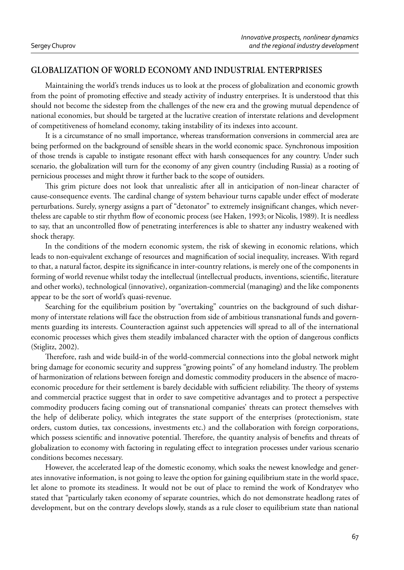## **GLOBALIZATION OF WORLD ECONOMY AND INDUSTRIAL ENTERPRISES**

Maintaining the world's trends induces us to look at the process of globalization and economic growth from the point of promoting effective and steady activity of industry enterprises. It is understood that this should not become the sidestep from the challenges of the new era and the growing mutual dependence of national economies, but should be targeted at the lucrative creation of interstate relations and development of competitiveness of homeland economy, taking instability of its indexes into account.

It is a circumstance of no small importance, whereas transformation conversions in commercial area are being performed on the background of sensible shears in the world economic space. Synchronous imposition of those trends is capable to instigate resonant effect with harsh consequences for any country. Under such scenario, the globalization will turn for the economy of any given country (including Russia) as a rooting of pernicious processes and might throw it further back to the scope of outsiders.

This grim picture does not look that unrealistic after all in anticipation of non-linear character of cause-consequence events. The cardinal change of system behaviour turns capable under effect of moderate perturbations. Surely, synergy assigns a part of "detonator" to extremely insignificant changes, which nevertheless are capable to stir rhythm flow of economic process (see Haken, 1993; or Nicolis, 1989). It is needless to say, that an uncontrolled flow of penetrating interferences is able to shatter any industry weakened with shock therapy.

In the conditions of the modern economic system, the risk of skewing in economic relations, which leads to non-equivalent exchange of resources and magnification of social inequality, increases. With regard to that, a natural factor, despite its significance in inter-country relations, is merely one of the components in forming of world revenue whilst today the intellectual (intellectual products, inventions, scientific, literature and other works), technological (innovative), organization-commercial (managing) and the like components appear to be the sort of world's quasi-revenue.

Searching for the equilibrium position by "overtaking" countries on the background of such disharmony of interstate relations will face the obstruction from side of ambitious transnational funds and governments guarding its interests. Counteraction against such appetencies will spread to all of the international economic processes which gives them steadily imbalanced character with the option of dangerous conflicts (Stiglitz, 2002).

Therefore, rash and wide build-in of the world-commercial connections into the global network might bring damage for economic security and suppress "growing points" of any homeland industry. The problem of harmonization of relations between foreign and domestic commodity producers in the absence of macroeconomic procedure for their settlement is barely decidable with sufficient reliability. The theory of systems and commercial practice suggest that in order to save competitive advantages and to protect a perspective commodity producers facing coming out of transnational companies' threats can protect themselves with the help of deliberate policy, which integrates the state support of the enterprises (protectionism, state orders, custom duties, tax concessions, investments etc.) and the collaboration with foreign corporations, which possess scientific and innovative potential. Therefore, the quantity analysis of benefits and threats of globalization to economy with factoring in regulating effect to integration processes under various scenario conditions becomes necessary.

However, the accelerated leap of the domestic economy, which soaks the newest knowledge and generates innovative information, is not going to leave the option for gaining equilibrium state in the world space, let alone to promote its steadiness. It would not be out of place to remind the work of Kondratyev who stated that "particularly taken economy of separate countries, which do not demonstrate headlong rates of development, but on the contrary develops slowly, stands as a rule closer to equilibrium state than national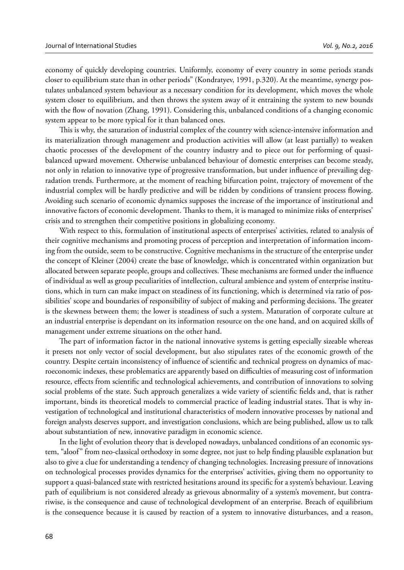economy of quickly developing countries. Uniformly, economy of every country in some periods stands closer to equilibrium state than in other periods" (Kondratyev, 1991, p.320). At the meantime, synergy postulates unbalanced system behaviour as a necessary condition for its development, which moves the whole system closer to equilibrium, and then throws the system away of it entraining the system to new bounds with the flow of novation (Zhang, 1991). Considering this, unbalanced conditions of a changing economic system appear to be more typical for it than balanced ones.

This is why, the saturation of industrial complex of the country with science-intensive information and its materialization through management and production activities will allow (at least partially) to weaken chaotic processes of the development of the country industry and to piece out for performing of quasibalanced upward movement. Otherwise unbalanced behaviour of domestic enterprises can become steady, not only in relation to innovative type of progressive transformation, but under influence of prevailing degradation trends. Furthermore, at the moment of reaching bifurcation point, trajectory of movement of the industrial complex will be hardly predictive and will be ridden by conditions of transient process flowing. Avoiding such scenario of economic dynamics supposes the increase of the importance of institutional and innovative factors of economic development. Thanks to them, it is managed to minimize risks of enterprises' crisis and to strengthen their competitive positions in globalizing economy.

With respect to this, formulation of institutional aspects of enterprises' activities, related to analysis of their cognitive mechanisms and promoting process of perception and interpretation of information incoming from the outside, seem to be constructive. Cognitive mechanisms in the structure of the enterprise under the concept of Kleiner (2004) create the base of knowledge, which is concentrated within organization but allocated between separate people, groups and collectives. These mechanisms are formed under the influence of individual as well as group peculiarities of intellection, cultural ambience and system of enterprise institutions, which in turn can make impact on steadiness of its functioning, which is determined via ratio of possibilities' scope and boundaries of responsibility of subject of making and performing decisions. The greater is the skewness between them; the lower is steadiness of such a system. Maturation of corporate culture at an industrial enterprise is dependant on its information resource on the one hand, and on acquired skills of management under extreme situations on the other hand.

The part of information factor in the national innovative systems is getting especially sizeable whereas it presets not only vector of social development, but also stipulates rates of the economic growth of the country. Despite certain inconsistency of influence of scientific and technical progress on dynamics of macroeconomic indexes, these problematics are apparently based on difficulties of measuring cost of information resource, effects from scientific and technological achievements, and contribution of innovations to solving social problems of the state. Such approach generalizes a wide variety of scientific fields and, that is rather important, binds its theoretical models to commercial practice of leading industrial states. That is why investigation of technological and institutional characteristics of modern innovative processes by national and foreign analysts deserves support, and investigation conclusions, which are being published, allow us to talk about substantiation of new, innovative paradigm in economic science.

In the light of evolution theory that is developed nowadays, unbalanced conditions of an economic system, "aloof" from neo-classical orthodoxy in some degree, not just to help finding plausible explanation but also to give a clue for understanding a tendency of changing technologies. Increasing pressure of innovations on technological processes provides dynamics for the enterprises' activities, giving them no opportunity to support a quasi-balanced state with restricted hesitations around its specific for a system's behaviour. Leaving path of equilibrium is not considered already as grievous abnormality of a system's movement, but contrariwise, is the consequence and cause of technological development of an enterprise. Breach of equilibrium is the consequence because it is caused by reaction of a system to innovative disturbances, and a reason,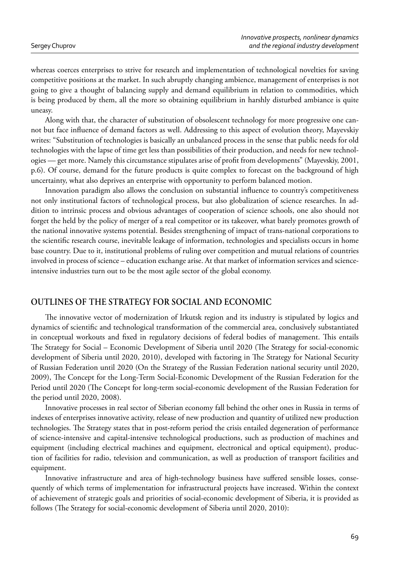whereas coerces enterprises to strive for research and implementation of technological novelties for saving competitive positions at the market. In such abruptly changing ambience, management of enterprises is not going to give a thought of balancing supply and demand equilibrium in relation to commodities, which is being produced by them, all the more so obtaining equilibrium in harshly disturbed ambiance is quite uneasy.

Along with that, the character of substitution of obsolescent technology for more progressive one cannot but face influence of demand factors as well. Addressing to this aspect of evolution theory, Mayevskiy writes: "Substitution of technologies is basically an unbalanced process in the sense that public needs for old technologies with the lapse of time get less than possibilities of their production, and needs for new technologies — get more. Namely this circumstance stipulates arise of profi t from developments" (Mayevskiy, 2001, p.6). Of course, demand for the future products is quite complex to forecast on the background of high uncertainty, what also deprives an enterprise with opportunity to perform balanced motion.

Innovation paradigm also allows the conclusion on substantial influence to country's competitiveness not only institutional factors of technological process, but also globalization of science researches. In addition to intrinsic process and obvious advantages of cooperation of science schools, one also should not forget the held by the policy of merger of a real competitor or its takeover, what barely promotes growth of the national innovative systems potential. Besides strengthening of impact of trans-national corporations to the scientific research course, inevitable leakage of information, technologies and specialists occurs in home base country. Due to it, institutional problems of ruling over competition and mutual relations of countries involved in process of science – education exchange arise. At that market of information services and scienceintensive industries turn out to be the most agile sector of the global economy.

### **OUTLINES OF THE STRATEGY FOR SOCIAL AND ECONOMIC**

The innovative vector of modernization of Irkutsk region and its industry is stipulated by logics and dynamics of scientific and technological transformation of the commercial area, conclusively substantiated in conceptual workouts and fixed in regulatory decisions of federal bodies of management. This entails The Strategy for Social – Economic Development of Siberia until 2020 (The Strategy for social-economic development of Siberia until 2020, 2010), developed with factoring in The Strategy for National Security of Russian Federation until 2020 (On the Strategy of the Russian Federation national security until 2020, 2009), The Concept for the Long-Term Social-Economic Development of the Russian Federation for the Period until 2020 (The Concept for long-term social-economic development of the Russian Federation for the period until 2020, 2008).

Innovative processes in real sector of Siberian economy fall behind the other ones in Russia in terms of indexes of enterprises innovative activity, release of new production and quantity of utilized new production technologies. The Strategy states that in post-reform period the crisis entailed degeneration of performance of science-intensive and capital-intensive technological productions, such as production of machines and equipment (including electrical machines and equipment, electronical and optical equipment), production of facilities for radio, television and communication, as well as production of transport facilities and equipment.

Innovative infrastructure and area of high-technology business have suffered sensible losses, consequently of which terms of implementation for infrastructural projects have increased. Within the context of achievement of strategic goals and priorities of social-economic development of Siberia, it is provided as follows (The Strategy for social-economic development of Siberia until 2020, 2010):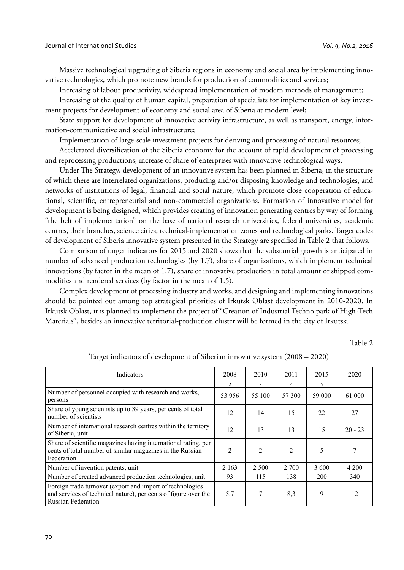Massive technological upgrading of Siberia regions in economy and social area by implementing innovative technologies, which promote new brands for production of commodities and services;

Increasing of labour productivity, widespread implementation of modern methods of management;

Increasing of the quality of human capital, preparation of specialists for implementation of key investment projects for development of economy and social area of Siberia at modern level;

State support for development of innovative activity infrastructure, as well as transport, energy, information-communicative and social infrastructure;

Implementation of large-scale investment projects for deriving and processing of natural resources;

Accelerated diversification of the Siberia economy for the account of rapid development of processing and reprocessing productions, increase of share of enterprises with innovative technological ways.

Under The Strategy, development of an innovative system has been planned in Siberia, in the structure of which there are interrelated organizations, producing and/or disposing knowledge and technologies, and networks of institutions of legal, financial and social nature, which promote close cooperation of educational, scientific, entrepreneurial and non-commercial organizations. Formation of innovative model for development is being designed, which provides creating of innovation generating centres by way of forming "the belt of implementation" on the base of national research universities, federal universities, academic centres, their branches, science cities, technical-implementation zones and technological parks. Target codes of development of Siberia innovative system presented in the Strategy are specified in Table 2 that follows.

Comparison of target indicators for 2015 and 2020 shows that the substantial growth is anticipated in number of advanced production technologies (by 1.7), share of organizations, which implement technical innovations (by factor in the mean of 1.7), share of innovative production in total amount of shipped commodities and rendered services (by factor in the mean of 1.5).

Complex development of processing industry and works, and designing and implementing innovations should be pointed out among top strategical priorities of Irkutsk Oblast development in 2010-2020. In Irkutsk Oblast, it is planned to implement the project of "Creation of Industrial Techno park of High-Tech Materials", besides an innovative territorial-production cluster will be formed in the city of Irkutsk.

Table 2

| Indicators                                                                                                                                                 | 2008           | 2010           | 2011           | 2015   | 2020      |
|------------------------------------------------------------------------------------------------------------------------------------------------------------|----------------|----------------|----------------|--------|-----------|
|                                                                                                                                                            | C.             | 3.             | 4              | 5.     |           |
| Number of personnel occupied with research and works,<br>persons                                                                                           | 53 956         | 55 100         | 57 300         | 59 000 | 61 000    |
| Share of young scientists up to 39 years, per cents of total<br>number of scientists                                                                       | 12             | 14             | 15             | 22     | 27        |
| Number of international research centres within the territory<br>of Siberia, unit                                                                          | 12             | 13             | 13             | 15     | $20 - 23$ |
| Share of scientific magazines having international rating, per<br>cents of total number of similar magazines in the Russian<br>Federation                  | $\mathfrak{D}$ | $\mathfrak{D}$ | $\mathfrak{D}$ | 5      | 7         |
| Number of invention patents, unit                                                                                                                          | 2 1 6 3        | 2 5 0 0        | 2 700          | 3 600  | 4 2 0 0   |
| Number of created advanced production technologies, unit                                                                                                   | 93             | 115            | 138            | 200    | 340       |
| Foreign trade turnover (export and import of technologies)<br>and services of technical nature), per cents of figure over the<br><b>Russian Federation</b> |                | 7              | 8,3            | 9      | 12        |

Target indicators of development of Siberian innovative system (2008 – 2020)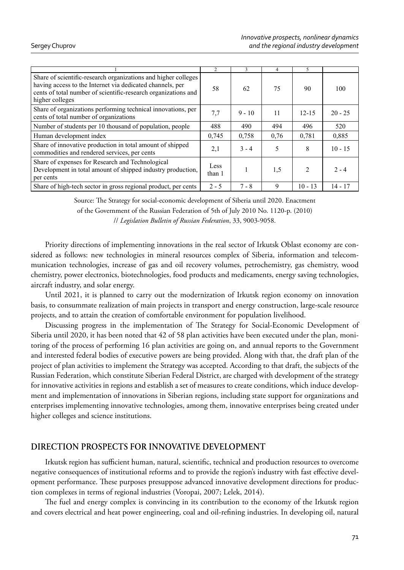|                                                                                                                                                                                                                  | $\overline{c}$ | 3        | 4    | 5             |           |
|------------------------------------------------------------------------------------------------------------------------------------------------------------------------------------------------------------------|----------------|----------|------|---------------|-----------|
| Share of scientific-research organizations and higher colleges<br>having access to the Internet via dedicated channels, per<br>cents of total number of scientific-research organizations and<br>higher colleges | 58             | 62       | 75   | 90            | 100       |
| Share of organizations performing technical innovations, per<br>cents of total number of organizations                                                                                                           | 7.7            | $9 - 10$ | 11   | $12 - 15$     | $20 - 25$ |
| Number of students per 10 thousand of population, people                                                                                                                                                         | 488            | 490      | 494  | 496           | 520       |
| Human development index                                                                                                                                                                                          | 0,745          | 0,758    | 0.76 | 0.781         | 0,885     |
| Share of innovative production in total amount of shipped<br>commodities and rendered services, per cents                                                                                                        | 2,1            | $3 - 4$  | 5    | 8             | $10 - 15$ |
| Share of expenses for Research and Technological<br>Development in total amount of shipped industry production,<br>per cents                                                                                     | Less<br>than 1 |          | 1.5  | $\mathcal{L}$ | $2 - 4$   |
| Share of high-tech sector in gross regional product, per cents                                                                                                                                                   | $2 - 5$        | $7 - 8$  | 9    | $10 - 13$     | $14 - 17$ |

Source: The Strategy for social-economic development of Siberia until 2020. Enactment of the Government of the Russian Federation of 5th of July 2010 No. 1120-p. (2010)

// *Legislation Bulletin of Russian Federation*, 33, 9003-9058.

Priority directions of implementing innovations in the real sector of Irkutsk Oblast economy are considered as follows: new technologies in mineral resources complex of Siberia, information and telecommunication technologies, increase of gas and oil recovery volumes, petrochemistry, gas chemistry, wood chemistry, power electronics, biotechnologies, food products and medicaments, energy saving technologies, aircraft industry, and solar energy.

Until 2021, it is planned to carry out the modernization of Irkutsk region economy on innovation basis, to consummate realization of main projects in transport and energy construction, large-scale resource projects, and to attain the creation of comfortable environment for population livelihood.

Discussing progress in the implementation of The Strategy for Social-Economic Development of Siberia until 2020, it has been noted that 42 of 58 plan activities have been executed under the plan, monitoring of the process of performing 16 plan activities are going on, and annual reports to the Government and interested federal bodies of executive powers are being provided. Along with that, the draft plan of the project of plan activities to implement the Strategy was accepted. According to that draft, the subjects of the Russian Federation, which constitute Siberian Federal District, are charged with development of the strategy for innovative activities in regions and establish a set of measures to create conditions, which induce development and implementation of innovations in Siberian regions, including state support for organizations and enterprises implementing innovative technologies, among them, innovative enterprises being created under higher colleges and science institutions.

## **DIRECTION PROSPECTS FOR INNOVATIVE DEVELOPMENT**

Irkutsk region has sufficient human, natural, scientific, technical and production resources to overcome negative consequences of institutional reforms and to provide the region's industry with fast effective development performance. These purposes presuppose advanced innovative development directions for production complexes in terms of regional industries (Voropai, 2007; Lelek, 2014).

The fuel and energy complex is convincing in its contribution to the economy of the Irkutsk region and covers electrical and heat power engineering, coal and oil-refining industries. In developing oil, natural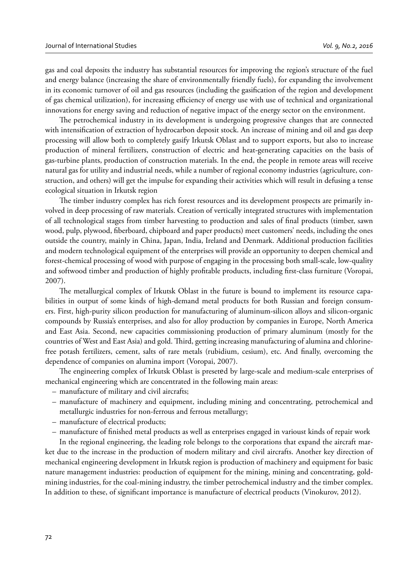gas and coal deposits the industry has substantial resources for improving the region's structure of the fuel and energy balance (increasing the share of environmentally friendly fuels), for expanding the involvement in its economic turnover of oil and gas resources (including the gasification of the region and development of gas chemical utilization), for increasing efficiency of energy use with use of technical and organizational innovations for energy saving and reduction of negative impact of the energy sector on the environment.

The petrochemical industry in its development is undergoing progressive changes that are connected with intensification of extraction of hydrocarbon deposit stock. An increase of mining and oil and gas deep processing will allow both to completely gasify Irkutsk Oblast and to support exports, but also to increase production of mineral fertilizers, construction of electric and heat-generating capacities on the basis of gas-turbine plants, production of construction materials. In the end, the people in remote areas will receive natural gas for utility and industrial needs, while a number of regional economy industries (agriculture, construction, and others) will get the impulse for expanding their activities which will result in defusing a tense ecological situation in Irkutsk region

The timber industry complex has rich forest resources and its development prospects are primarily involved in deep processing of raw materials. Creation of vertically integrated structures with implementation of all technological stages from timber harvesting to production and sales of final products (timber, sawn wood, pulp, plywood, fiberboard, chipboard and paper products) meet customers' needs, including the ones outside the country, mainly in China, Japan, India, Ireland and Denmark. Additional production facilities and modern technological equipment of the enterprises will provide an opportunity to deepen chemical and forest-chemical processing of wood with purpose of engaging in the processing both small-scale, low-quality and softwood timber and production of highly profitable products, including first-class furniture (Voropai, 2007).

The metallurgical complex of Irkutsk Oblast in the future is bound to implement its resource capabilities in output of some kinds of high-demand metal products for both Russian and foreign consumers. First, high-purity silicon production for manufacturing of aluminum-silicon alloys and silicon-organic compounds by Russia's enterprises, and also for alloy production by companies in Europe, North America and East Asia. Second, new capacities commissioning production of primary aluminum (mostly for the countries of West and East Asia) and gold. Third, getting increasing manufacturing of alumina and chlorinefree potash fertilizers, cement, salts of rare metals (rubidium, cesium), etc. And finally, overcoming the dependence of companies on alumina import (Voropai, 2007).

The engineering complex of Irkutsk Oblast is preseted by large-scale and medium-scale enterprises of mechanical engineering which are concentrated in the following main areas:

- manufacture of military and civil aircrafts;
- manufacture of machinery and equipment, including mining and concentrating, petrochemical and metallurgic industries for non-ferrous and ferrous metallurgy;
- manufacture of electrical products;
- manufacture of finished metal products as well as enterprises engaged in varioust kinds of repair work

In the regional engineering, the leading role belongs to the corporations that expand the aircraft market due to the increase in the production of modern military and civil aircrafts. Another key direction of mechanical engineering development in Irkutsk region is production of machinery and equipment for basic nature management industries: production of equipment for the mining, mining and concentrating, goldmining industries, for the coal-mining industry, the timber petrochemical industry and the timber complex. In addition to these, of significant importance is manufacture of electrical products (Vinokurov, 2012).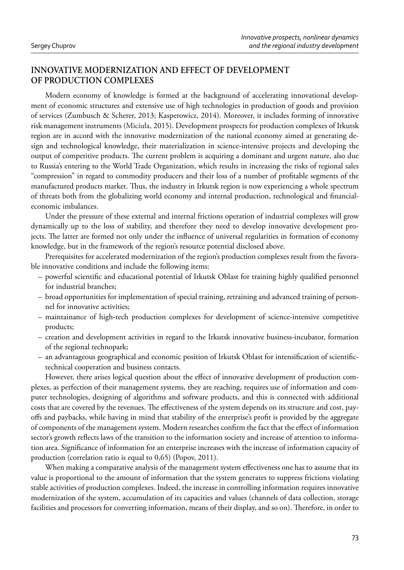# **INNOVATIVE MODERNIZATION AND EFFECT OF DEVELOPMENT OF PRODUCTION COMPLEXES**

Modern economy of knowledge is formed at the background of accelerating innovational development of economic structures and extensive use of high technologies in production of goods and provision of services (Zumbusch & Scherer, 2013; Kasperowicz, 2014). Moreover, it includes forming of innovative risk management instruments (Miciuła, 2015). Development prospects for production complexes of Irkutsk region are in accord with the innovative modernization of the national economy aimed at generating design and technological knowledge, their materialization in science-intensive projects and developing the output of competitive products. The current problem is acquiring a dominant and urgent nature, also due to Russia's entering to the World Trade Organization, which results in increasing the risks of regional sales "compression" in regard to commodity producers and their loss of a number of profi table segments of the manufactured products market. Thus, the industry in Irkutsk region is now experiencing a whole spectrum of threats both from the globalizing world economy and internal production, technological and financialeconomic imbalances.

Under the pressure of these external and internal frictions operation of industrial complexes will grow dynamically up to the loss of stability, and therefore they need to develop innovative development projects. The latter are formed not only under the influence of universal regularities in formation of economy knowledge, but in the framework of the region's resource potential disclosed above.

Prerequisites for accelerated modernization of the region's production complexes result from the favorable innovative conditions and include the following items:

- powerful scientific and educational potential of Irkutsk Oblast for training highly qualified personnel for industrial branches;
- broad opportunities for implementation of special training, retraining and advanced training of personnel for innovative activities;
- maintainance of high-tech production complexes for development of science-intensive competitive products;
- creation and development activities in regard to the Irkutsk innovative business-incubator, formation of the regional technopark;
- an advantageous geographical and economic position of Irkutsk Oblast for intensification of scientifictechnical cooperation and business contacts.

However, there arises logical question about the effect of innovative development of production complexes, as perfection of their management systems, they are reaching, requires use of information and computer technologies, designing of algorithms and software products, and this is connected with additional costs that are covered by the revenues. The effectiveness of the system depends on its structure and cost, payoffs and paybacks, while having in mind that stability of the enterprise's profit is provided by the aggregate of components of the management system. Modern researches confirm the fact that the effect of information sector's growth reflects laws of the transition to the information society and increase of attention to information area. Significance of information for an enterprise increases with the increase of information capacity of production (correlation ratio is equal to 0,65) (Popov, 2011).

When making a comparative analysis of the management system effectiveness one has to assume that its value is proportional to the amount of information that the system generates to suppress frictions violating stable activities of production complexes. Indeed, the increase in controlling information requires innovative modernization of the system, accumulation of its capacities and values (channels of data collection, storage facilities and processors for converting information, means of their display, and so on). Therefore, in order to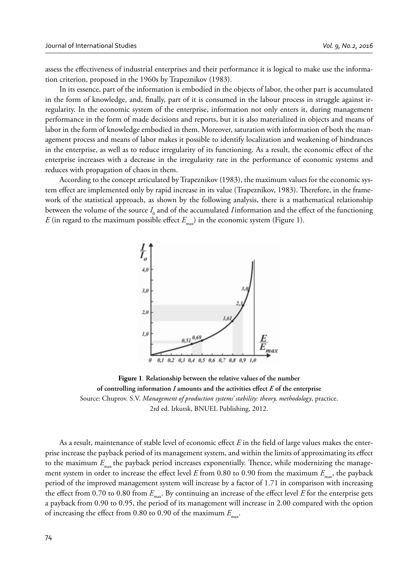assess the effectiveness of industrial enterprises and their performance it is logical to make use the information criterion, proposed in the 1960s by Trapeznikov (1983).

In its essence, part of the information is embodied in the objects of labor, the other part is accumulated in the form of knowledge, and, finally, part of it is consumed in the labour process in struggle against irregularity. In the economic system of the enterprise, information not only enters it, during management performance in the form of made decisions and reports, but it is also materialized in objects and means of labor in the form of knowledge embodied in them. Moreover, saturation with information of both the management process and means of labor makes it possible to identify localization and weakening of hindrances in the enterprise, as well as to reduce irregularity of its functioning. As a result, the economic effect of the enterprise increases with a decrease in the irregularity rate in the performance of economic systems and reduces with propagation of chaos in them.

According to the concept articulated by Trapeznikov (1983), the maximum values for the economic system effect are implemented only by rapid increase in its value (Trapeznikov, 1983). Therefore, in the framework of the statistical approach, as shown by the following analysis, there is a mathematical relationship between the volume of the source  $I_0$  and of the accumulated *I* information and the effect of the functioning *E* (in regard to the maximum possible effect  $E_{\text{max}}$ ) in the economic system (Figure 1).



**Figure 1***.* **Relationship between the relative values of the number of controlling information** *I* **amounts and the activities effect** *E* **of the enterprise** Source: Chuprov. S.V. *Management of production systems' stability: theory, methodology*, practice. 2rd ed. Irkutsk, BNUEL Publishing, 2012.

As a result, maintenance of stable level of economic effect *E* in the field of large values makes the enterprise increase the payback period of its management system, and within the limits of approximating its effect to the maximum  $E_{\text{max}}$  the payback period increases exponentially. Thence, while modernizing the management system in order to increase the effect level *E* from 0.80 to 0.90 from the maximum  $E_{\text{max}}$ , the payback period of the improved management system will increase by a factor of 1.71 in comparison with increasing the effect from 0.70 to 0.80 from  $E_{\text{max}}$ . By continuing an increase of the effect level *E* for the enterprise gets a payback from 0.90 to 0.95, the period of its management will increase in 2.00 compared with the option of increasing the effect from 0.80 to 0.90 of the maximum  $E_{\text{max}}$ .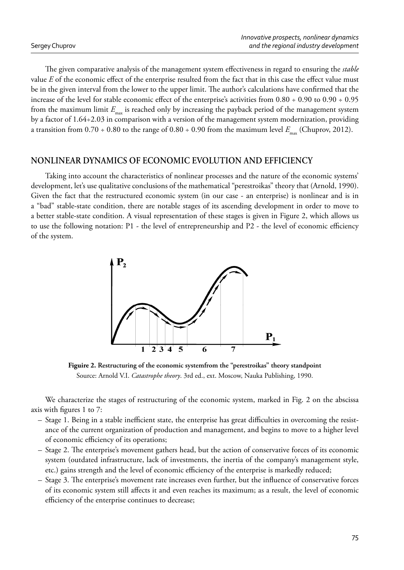The given comparative analysis of the management system effectiveness in regard to ensuring the *stable* value *E* of the economic effect of the enterprise resulted from the fact that in this case the effect value must be in the given interval from the lower to the upper limit. The author's calculations have confirmed that the increase of the level for stable economic effect of the enterprise's activities from  $0.80 \div 0.90$  to  $0.90 \div 0.95$ from the maximum limit  $E_{\text{max}}$  is reached only by increasing the payback period of the management system by a factor of 1.64÷2.03 in comparison with a version of the management system modernization, providing a transition from  $0.70 \div 0.80$  to the range of  $0.80 \div 0.90$  from the maximum level  $E_{\text{max}}$  (Chuprov, 2012).

## **NONLINEAR DYNAMICS OF ECONOMIC EVOLUTION AND EFFICIENCY**

Taking into account the characteristics of nonlinear processes and the nature of the economic systems' development, let's use qualitative conclusions of the mathematical "perestroikas" theory that (Arnold, 1990). Given the fact that the restructured economic system (in our case - an enterprise) is nonlinear and is in a "bad" stable-state condition, there are notable stages of its ascending development in order to move to a better stable-state condition. A visual representation of these stages is given in Figure 2, which allows us to use the following notation:  $P1$  - the level of entrepreneurship and  $P2$  - the level of economic efficiency of the system.



**Figuire 2. Restructuring of the economic systemfrom the "perestroikas" theory standpoint** Source: Arnold V.I. *Catastrophe theory*. 3rd ed., ext. Moscow, Nauka Publishing, 1990.

We characterize the stages of restructuring of the economic system, marked in Fig. 2 on the abscissa axis with figures  $1$  to  $7$ :

- Stage 1. Being in a stable inefficient state, the enterprise has great difficulties in overcoming the resistance of the current organization of production and management, and begins to move to a higher level of economic efficiency of its operations;
- Stage 2. The enterprise's movement gathers head, but the action of conservative forces of its economic system (outdated infrastructure, lack of investments, the inertia of the company's management style, etc.) gains strength and the level of economic efficiency of the enterprise is markedly reduced;
- Stage 3. The enterprise's movement rate increases even further, but the influence of conservative forces of its economic system still affects it and even reaches its maximum; as a result, the level of economic efficiency of the enterprise continues to decrease;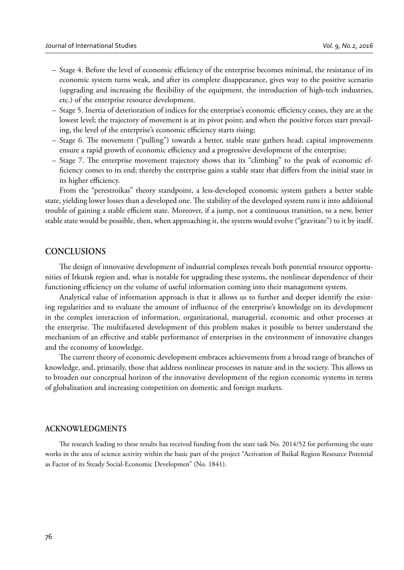- Stage 4. Before the level of economic efficiency of the enterprise becomes minimal, the resistance of its economic system turns weak, and after its complete disappearance, gives way to the positive scenario (upgrading and increasing the flexibility of the equipment, the introduction of high-tech industries, etc.) of the enterprise resource development.
- Stage 5. Inertia of deterioration of indices for the enterprise's economic efficiency ceases, they are at the lowest level; the trajectory of movement is at its pivot point; and when the positive forces start prevailing, the level of the enterprise's economic efficiency starts rising;
- Stage 6. The movement ("pulling") towards a better, stable state gathers head; capital improvements ensure a rapid growth of economic efficiency and a progressive development of the enterprise;
- Stage 7. The enterprise movement trajectory shows that its "climbing" to the peak of economic efficiency comes to its end; thereby the enterprise gains a stable state that differs from the initial state in its higher efficiency.

From the "perestroikas" theory standpoint, a less-developed economic system gathers a better stable state, yielding lower losses than a developed one. The stability of the developed system runs it into additional trouble of gaining a stable efficient state. Moreover, if a jump, not a continuous transition, to a new, better stable state would be possible, then, when approaching it, the system would evolve ("gravitate") to it by itself.

### **CONCLUSIONS**

The design of innovative development of industrial complexes reveals both potential resource opportunities of Irkutsk region and, what is notable for upgrading these systems, the nonlinear dependence of their functioning efficiency on the volume of useful information coming into their management system.

Analytical value of information approach is that it allows us to further and deeper identify the existing regularities and to evaluate the amount of influence of the enterprise's knowledge on its development in the complex interaction of information, organizational, managerial, economic and other processes at the enterprise. The multifaceted development of this problem makes it possible to better understand the mechanism of an effective and stable performance of enterprises in the environment of innovative changes and the economy of knowledge.

The current theory of economic development embraces achievements from a broad range of branches of knowledge, and, primarily, those that address nonlinear processes in nature and in the society. This allows us to broaden our conceptual horizon of the innovative development of the region economic systems in terms of globalization and increasing competition on domestic and foreign markets.

#### **ACKNOWLEDGMENTS**

The research leading to these results has received funding from the state task No. 2014/52 for performing the state works in the area of science activity within the basic part of the project "Activation of Baikal Region Resource Potential as Factor of its Steady Social-Economic Developmen" (No. 1841).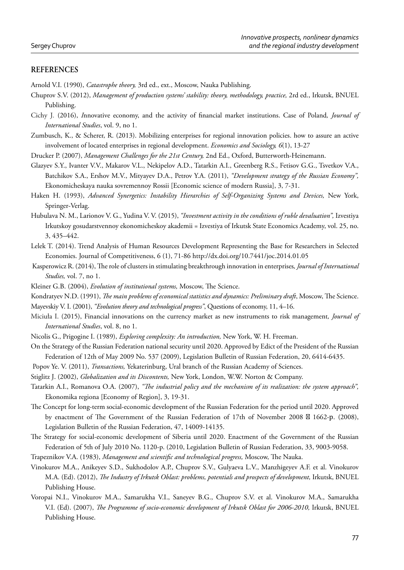### **REFERENCES**

Arnold V.I. (1990), *Catastrophe theory*, 3rd ed., ext., Moscow, Nauka Publishing.

- Chuprov S.V. (2012), *Management of production systems' stability: theory, methodology, practice*, 2rd ed., Irkutsk, BNUEL Publishing.
- Cichy J. (2016), *Innovative economy*, and the activity of financial market institutions. Case of Poland, *Journal of International Studies*, vol. 9, no 1.
- Zumbusch, K., & Scherer, R. (2013). Mobilizing enterprises for regional innovation policies. how to assure an active involvement of located enterprises in regional development. *Economics and Sociology, 6*(1), 13-27
- Drucker P. (2007), *Management Challenges for the 21st Century,* 2nd Ed., Oxford, Butterworth-Heinemann.
- Glazyev S.Y., I vanter V.V., Makarov V.L., Nekipelov A.D., Tatarkin A.I., Greenberg R.S., Fetisov G.G., Tsvetkov V.A., Batchikov S.A., Ershov M.V., Mityayev D.A., Petrov Y.A. (2011), *"Development strategy of the Russian Economy",* Ekonomicheskaya nauka sovremennoy Rossii [Economic science of modern Russia], 3, 7-31.
- Haken H. (1993), *Advanced Synergetics: Instability Hierarchies of Self-Organizing Systems and Devices,* New York, Springer-Verlag.
- Hubulava N. M., Larionov V. G., Yudina V. V. (2015), *"Investment activity in the conditions of ruble devaluation",* Izvestiya Irkutskoy gosudarstvennoy ekonomicheskoy akademii = Izvestiya of Irkutsk State Economics Academy, vol. 25, no. 3, 435–442.
- Lelek T. (2014). Trend Analysis of Human Resources Development Representing the Base for Researchers in Selected Economies. Journal of Competitiveness, 6 (1), 71-86 http://dx.doi.org/10.7441/joc.2014.01.05
- Kasperowicz R. (2014), The role of clusters in stimulating breakthrough innovation in enterprises, *Journal of International Studies,* vol. 7, no 1.
- Kleiner G.B. (2004), *Evolution of institutional systems*, Moscow, The Science.

Kondratyev N.D. (1991), *The main problems of economical statistics and dynamics: Preliminary draft*, Moscow, The Science.

- Mayevskiy V. I. (2001), *"Evolution theory and technological progress"*, Questions of economy, 11, 4–16.
- Miciuła I. (2015), Financial innovations on the currency market as new instruments to risk management*, Journal of International Studies*, vol. 8, no 1.
- Nicolis G., Prigogine I. (1989), *Exploring complexity: An introduction,* New York, W. H. Freeman.
- On the Strategy of the Russian Federation national security until 2020. Approved by Edict of the President of the Russian Federation of 12th of May 2009 No. 537 (2009), Legislation Bulletin of Russian Federation, 20, 6414-6435.
- Popov Ye. V. (2011), *Transactions,* Yekaterinburg, Ural branch of the Russian Academy of Sciences.
- Stiglitz J. (2002), *Globalization and its Discontents,* New York, London, W.W. Norton & Company.
- Tatarkin A.I., Romanova O.A. (2007), *"The industrial policy and the mechanism of its realization: the system approach*", Ekonomika regiona [Economy of Region], 3, 19-31.
- The Concept for long-term social-economic development of the Russian Federation for the period until 2020. Approved by enactment of The Government of the Russian Federation of 17th of November 2008 ⊠ 1662-р. (2008), Legislation Bulletin of the Russian Federation, 47, 14009-14135.
- The Strategy for social-economic development of Siberia until 2020. Enactment of the Government of the Russian Federation of 5th of July 2010 No. 1120-p. (2010, Legislation Bulletin of Russian Federation, 33, 9003-9058.
- Trapeznikov V.A. (1983), *Management and scientific and technological progress*, Moscow, The Nauka.
- Vinokurov M.A., Anikeyev S.D., Sukhodolov A.P., Chuprov S.V., Gulyaeva L.V., Manzhigeyev A.F. et al. Vinokurov M.A. (Ed). (2012), *The Industry of Irkutsk Oblast: problems, potentials and prospects of development*, Irkutsk, BNUEL Publishing House.
- Voropai N.I., Vinokurov M.A., Samarukha V.I., Saneyev B.G., Chuprov S.V. et al. Vinokurov M.A., Samarukha V.I. (Ed). (2007), *The Programme of socio-economic development of Irkutsk Oblast for 2006-2010*, Irkutsk, BNUEL Publishing House.